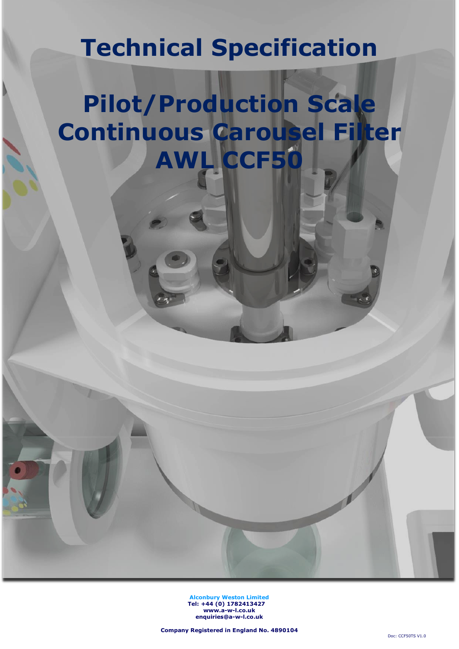## **Technical Specification**

# **Pilot/Production Scale Continuous Carousel Filter AWL CCF50**

**Alconbury Weston Limited Tel: +44 (0) 1782413427 [www.a-w-l.co.uk](http://www.a-w-l.co.uk/) enquiries@a-w-l.co.uk**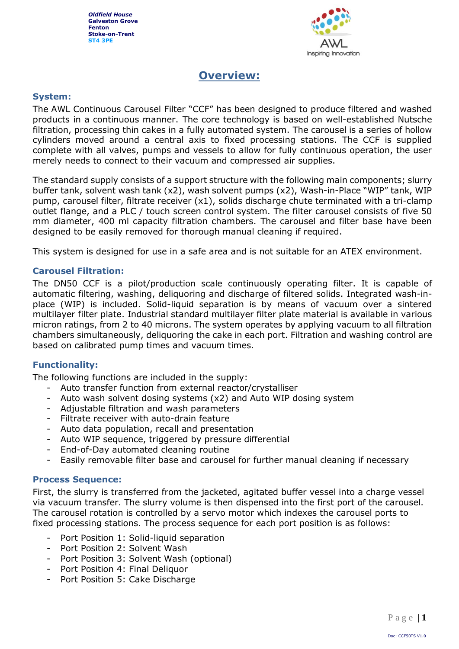

## **Overview:**

#### **System:**

The AWL Continuous Carousel Filter "CCF" has been designed to produce filtered and washed products in a continuous manner. The core technology is based on well-established Nutsche filtration, processing thin cakes in a fully automated system. The carousel is a series of hollow cylinders moved around a central axis to fixed processing stations. The CCF is supplied complete with all valves, pumps and vessels to allow for fully continuous operation, the user merely needs to connect to their vacuum and compressed air supplies.

The standard supply consists of a support structure with the following main components; slurry buffer tank, solvent wash tank (x2), wash solvent pumps (x2), Wash-in-Place "WIP" tank, WIP pump, carousel filter, filtrate receiver (x1), solids discharge chute terminated with a tri-clamp outlet flange, and a PLC / touch screen control system. The filter carousel consists of five 50 mm diameter, 400 ml capacity filtration chambers. The carousel and filter base have been designed to be easily removed for thorough manual cleaning if required.

This system is designed for use in a safe area and is not suitable for an ATEX environment.

#### **Carousel Filtration:**

The DN50 CCF is a pilot/production scale continuously operating filter. It is capable of automatic filtering, washing, deliquoring and discharge of filtered solids. Integrated wash-inplace (WIP) is included. Solid-liquid separation is by means of vacuum over a sintered multilayer filter plate. Industrial standard multilayer filter plate material is available in various micron ratings, from 2 to 40 microns. The system operates by applying vacuum to all filtration chambers simultaneously, deliquoring the cake in each port. Filtration and washing control are based on calibrated pump times and vacuum times.

## **Functionality:**

The following functions are included in the supply:

- Auto transfer function from external reactor/crystalliser
- Auto wash solvent dosing systems (x2) and Auto WIP dosing system
- Adjustable filtration and wash parameters
- Filtrate receiver with auto-drain feature
- Auto data population, recall and presentation
- Auto WIP sequence, triggered by pressure differential
- End-of-Day automated cleaning routine
- Easily removable filter base and carousel for further manual cleaning if necessary

#### **Process Sequence:**

First, the slurry is transferred from the jacketed, agitated buffer vessel into a charge vessel via vacuum transfer. The slurry volume is then dispensed into the first port of the carousel. The carousel rotation is controlled by a servo motor which indexes the carousel ports to fixed processing stations. The process sequence for each port position is as follows:

- Port Position 1: Solid-liquid separation
- Port Position 2: Solvent Wash
- Port Position 3: Solvent Wash (optional)
- Port Position 4: Final Deliquor
- Port Position 5: Cake Discharge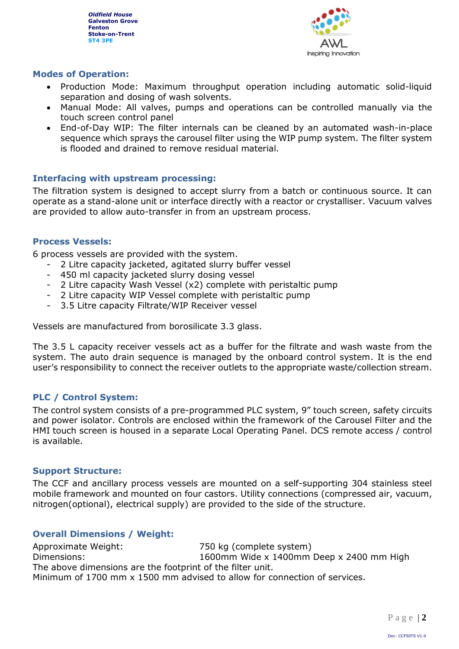

## **Modes of Operation:**

- Production Mode: Maximum throughput operation including automatic solid-liquid separation and dosing of wash solvents.
- Manual Mode: All valves, pumps and operations can be controlled manually via the touch screen control panel
- End-of-Day WIP: The filter internals can be cleaned by an automated wash-in-place sequence which sprays the carousel filter using the WIP pump system. The filter system is flooded and drained to remove residual material.

## **Interfacing with upstream processing:**

The filtration system is designed to accept slurry from a batch or continuous source. It can operate as a stand-alone unit or interface directly with a reactor or crystalliser. Vacuum valves are provided to allow auto-transfer in from an upstream process.

## **Process Vessels:**

6 process vessels are provided with the system.

- 2 Litre capacity jacketed, agitated slurry buffer vessel
- 450 ml capacity jacketed slurry dosing vessel
- 2 Litre capacity Wash Vessel  $(x2)$  complete with peristaltic pump
- 2 Litre capacity WIP Vessel complete with peristaltic pump
- 3.5 Litre capacity Filtrate/WIP Receiver vessel

Vessels are manufactured from borosilicate 3.3 glass.

The 3.5 L capacity receiver vessels act as a buffer for the filtrate and wash waste from the system. The auto drain sequence is managed by the onboard control system. It is the end user's responsibility to connect the receiver outlets to the appropriate waste/collection stream.

## **PLC / Control System:**

The control system consists of a pre-programmed PLC system, 9" touch screen, safety circuits and power isolator. Controls are enclosed within the framework of the Carousel Filter and the HMI touch screen is housed in a separate Local Operating Panel. DCS remote access / control is available.

#### **Support Structure:**

The CCF and ancillary process vessels are mounted on a self-supporting 304 stainless steel mobile framework and mounted on four castors. Utility connections (compressed air, vacuum, nitrogen(optional), electrical supply) are provided to the side of the structure.

## **Overall Dimensions / Weight:**

Approximate Weight: 750 kg (complete system) Dimensions: 1600mm Wide x 1400mm Deep x 2400 mm High The above dimensions are the footprint of the filter unit. Minimum of 1700 mm x 1500 mm advised to allow for connection of services.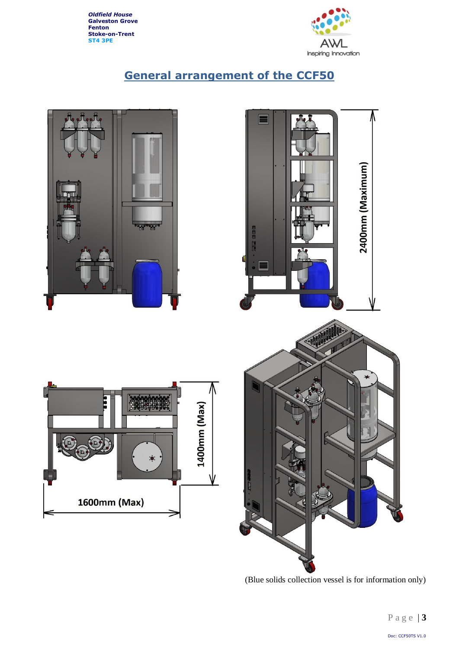

## **General arrangement of the CCF50**



(Blue solids collection vessel is for information only)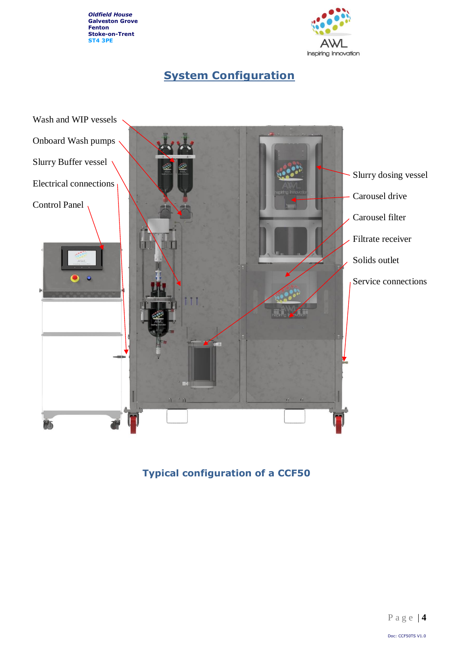

## **System Configuration**



## **Typical configuration of a CCF50**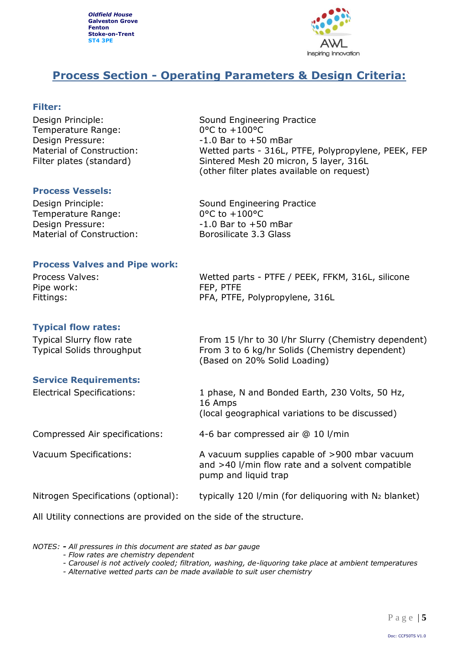

## **Process Section - Operating Parameters & Design Criteria:**

### **Filter:**

Temperature Range: 0°C to +100°C Design Pressure:  $-1.0$  Bar to +50 mBar

Design Principle: Sound Engineering Practice Material of Construction: Wetted parts - 316L, PTFE, Polypropylene, PEEK, FEP Filter plates (standard) Sintered Mesh 20 micron, 5 layer, 316L (other filter plates available on request)

#### **Process Vessels:**

Temperature Range: 0°C to +100°C Design Pressure:  $-1.0$  Bar to  $+50$  mBar Material of Construction: Borosilicate 3.3 Glass

Design Principle: Sound Engineering Practice

#### **Process Valves and Pipe work:**

Process Valves: Wetted parts - PTFE / PEEK, FFKM, 316L, silicone Pipe work: FEP, PTFE Fittings: The PFA, PTFE, Polypropylene, 316L

### **Typical flow rates:**

Typical Slurry flow rate From 15 l/hr to 30 l/hr Slurry (Chemistry dependent) Typical Solids throughput From 3 to 6 kg/hr Solids (Chemistry dependent) (Based on 20% Solid Loading)

#### **Service Requirements:**

Electrical Specifications: 1 phase, N and Bonded Earth, 230 Volts, 50 Hz, 16 Amps

(local geographical variations to be discussed)

Compressed Air specifications: 4-6 bar compressed air @ 10 l/min

Vacuum Specifications: A vacuum supplies capable of >900 mbar vacuum and >40 l/min flow rate and a solvent compatible pump and liquid trap

Nitrogen Specifications (optional): typically 120 l/min (for deliquoring with N<sup>2</sup> blanket)

All Utility connections are provided on the side of the structure.

*NOTES: - All pressures in this document are stated as bar gauge*

*<sup>-</sup> Flow rates are chemistry dependent*

*<sup>-</sup> Carousel is not actively cooled; filtration, washing, de-liquoring take place at ambient temperatures*

*<sup>-</sup> Alternative wetted parts can be made available to suit user chemistry*